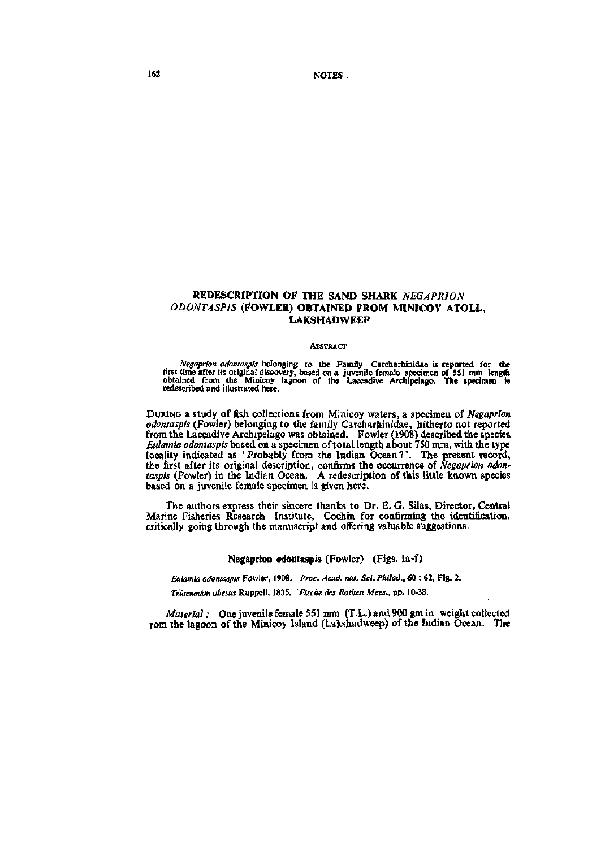162 NOTES

# REDESCRIPTION OF THE SAND SHARK *NEGAPRJON ODONTASPIS* (FOWLER) OBTAINED FROM MINICOY ATOLL, **LAKSHADWEEP**

#### **ABSTRACT**

Negaprion adontaspis belonging to the Family Carcharhinidae is reported for the first time after its original discovery, based on a juvenile female specimen of 551 mm length obtained from the Minicoy lagoon of the Laccadiv

DURING a study of fish collections from Minicoy waters, a specimen of *Negaprion odontaspis* (Fowler) belonging to the family Carcharhinidae, hitherto not reported from the Laccadive Archipelago was obtained. Fowler (1908) described the species *Eulamia odontaspis* based on a spscimen of total length about 750 mm, with the type locality indicated as 'Probably from the Indian Ocean?'. The present record, the first after its original description, confirms the occurrence of *Negaprion odon' taspis* (Fowler) in the Indian Ocean. A redescription of this little known species based on a juvenile female specimen is given here.

The authors express their sincere thanks to Dr. E. G. Silas, Director, Central Marine Fisheries Research Institute, Cochin for confirming the identification, critically going through the manuscript and offering valuable suggestions.

#### Negaprion odontaspis (Fowler) (Figs, la-f)

*Eulamia odontaspis* Fowler, 1908. *Proc. Acad. nat. Sci. Philad.,* 60 : 62, Fig. 2.

*Tiitaenodon'obesusKnp'ge:\\,* 1835. *Fischedes Rothen Mees., pp. IQ-iS.* 

*Material:* One juvenile female 551 mm (T.L.) and 900 gm in weight collected rom the lagoon of the Minicoy Island (Lakshadweep) of the Indian Ocean, The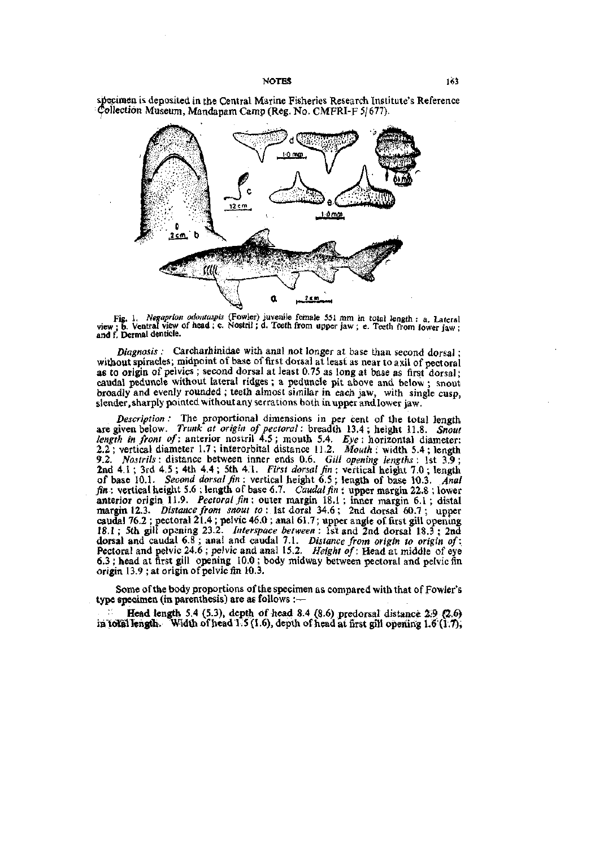specimen is deposited in the Central Marine Fisheries Research Institute's Reference (?ollection Museum, Mandapam Camp (Reg. No. CMFRI-F 5/677).



Fig. 1. *Negaprion odontaspis* (Fowler) juvenile female 551 mm in total length : a. Lateral atd^f! V^rdintfcre." ' ''" ' = *'^ """'''^ '* "^ "^^^^^ *''""'* "^^^^ ^^" = «• Teeth ftomlowerfw!

*Diagnosis :* Carcharhinidae with anal not longer at base than second dorsal; without spiracles; midpoint of base of first dorsal at least as near to axil of pectoral as to origin of pelvics ; second dorsal at least 0.75 as long at base as first dorsal • caudal peduncle without lateral ridges; a peduncle pit above and below; snout broadly and evenly rounded; teeth almost similar in each jaw, with single cusp, slender, sharply pointed without any serrations both in upper and lower jaw.

*Description :* The proportional dimensions in per cent of the total length are given below. *Trunk at origin of pectoral:* breadth 13.4; height 11.8 *Snout length in front of:* anterior nostril 4.5; mouth 5.4. *£ye:* horizontal diameter-2.2 ; vertical diameter 1.7 ; interorbital distance 11.2. *Mouth :* width 5.4 ; length 9.2. *Nostrils*: distance between inner ends 0.6. *Gill opening lengths*: 1st 3.9; *^^^J-^* 'Jrd 4.5 ; 4th 4.4 ; 5th 4.1. *First dorsal fin :* vertical height 7.0 ; length of base 10.1. *Second dorsal fin :* vertical height 6.5 ; length of base 10.3. *Anal fin* : vertical height 5.6 ; length of base 6.7. *Caudal fin :* upper margin 22.8 ; lower anterior origin 11.9. *Pectoral fin :* outer margin 18.1 ; inner margin 6.1 ; distal margin 12.3. *Distance from snout* to: 1st dorsi 34.6; 2nd dorsal 60.7; upper caudal 76.2 ; pectoral 21.4 ; pelvic 46.0 ; anal 61.7; upper angle of first gill opening 18.1 ; 5th gill opening 23.2. *Interspace between :* 1st and 2nd dorsal 18.3 ; 2nd dorsal and caudal 6.8 ; anal and caudal 7.1. *Distance from origin to origin of:*  Pectoral and pelvic 24.6 ; pelvic and anal 15.2. *Height of:* Head at middle of eye 6.3; head at first gill opening 10.0; body midway between pectoral and pelvic fin origin  $13.9$ ; at origin of pelvic fin  $10.3$ .

Some of the body proportions of the specimen as compared with that of Fowler's type specimen (in parenthesis) are as follows :-

Head length 5.4 (5.3), depth of head 8.4 (8.6) predorsal distance  $2.9$  (2.6)  $\inf$  to fallength. Width of head 1.5 (1.6), depth of head at first gill opening 1.6 (l.7),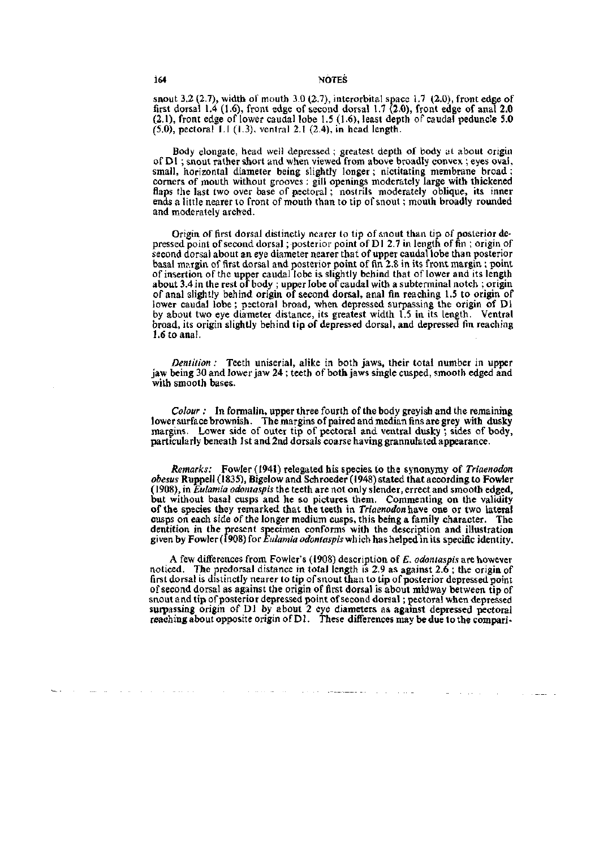snout 3.2 (2.7), width of mouth 3.0 (2.7), interorbital space 1.7 (2.0), front edge of first dorsal 1.4 (1.6), front edge of second dorsal 1.7  $(2.0)$ , front edge of anal 2.0 (2.1), front edge of lower caudal lobe 1.5 (1.6), least depth of caudal peduncle 5.0  $(5.0)$ , pectoral I.I  $(1.3)$ , ventral 2.1  $(2.4)$ , in head length.

Body elongate, head well depressed; greatest depth of body at about origin of Dl ; snout rather short and when viewed from above broadly convex ; eyes oval, small, horizontal diameter being slightly longer; nictitating membrane broad ; corners of mouth without grooves; gill openings moderately large with thickened flaps the last two over base of pectoral; nostrils moderately oblique, its inner ends a little nearer to front of mouth than to tip of snout; mouth broadly rounded and moderately arched.

Origin of first dorsal distinctly nearer to tip of snout than tip of posterior depressed point of second dorsal; posterior point of Dl 2.7 in length of fin ; origin of second dorsal about an eye diameter nearer that of upper caudal lobe than posterior basal margin of first dorsal and posterior point of fin 2.8 in its front margin ; point of insertion of the upper caudal lobe is slightly behind that of lower and its length about 3.4 in the rest of body ; upper lobe of caudal with a subterminal notch ; origin of anal slightly behind origin of second dorsal, anal fin reaching 1.5 to origin of lower caudal lobe ; pectoral broad, when depressed surpassing the origin of Dl by about two eye diameter distance, its greatest width 1.5 in its length. Ventral broad, its origin slightly behind tip of depressed dorsal, and depressed fin reaching 1.6 to anal.

*Dentition :* Teeth uniserial, alike in both jaws, their total number in upper jaw being 30 and lower jaw 24 ; teeth of both jaws single cusped, smooth edged and with smooth bases.

*Colour :* In formalin, upper three fourth of the body greyish and the remaining lower surface brownish. The margins of paired and median fins are grey with dusky margins. Lower side of outer tip of pectoral and ventral dusky ; sides of body, particularly beneath 1st and 2nd dorsals coarse having grannulated appearance.

*Remarks:* Fowler (1941) relegated his species to the synonymy of *Triaenodon obesus* Ruppell (1835), Bigelow and Schroeder (1948) stated that according to Fowler (1908), in *Eulamia odontaspis* the teeth are not only slender, errect and smooth edged, but without basal cusps and he so pictures them. Commenting on the validity of the species they remarked that the teeth in *Triaenodon* have one or two lateral cusps on each side of the longer medium cusps, this being a family character. The dentition in the present specimen conforms with the description and illustration given by Fowler (1908) for *Eulamia odontaspis* which has helped in its specific identity.

A few differences from Fowler's (1908) description of £. *odontaspis* are however noticed. The predorsal distance in total length is 2.9 as against 2.6 ; the origin of first dorsal is distinctly nearer to tip of snout than to tip of posterior depressed point of second dorsal as against the origin of first dorsal is about midway between tip of snout and tip of posterior depressed point of second dorsal; pectoral when depressed surpassing origin of D1 by about 2 eye diameters as against depressed pectoral reaching about opposite origin of Dl. These differences may be due to the compari-

المستوري والمواري والمستقسم الجوابر والمراسي ستحدث

 $\Delta \phi = 1$  , and  $\Delta \phi = 1$  , and  $\Delta \phi$ 

والمستشار الماري

the control of the control of the control of

 $\sim 100$  km s  $^{-1}$ 

 $\sim 10^{-11}$